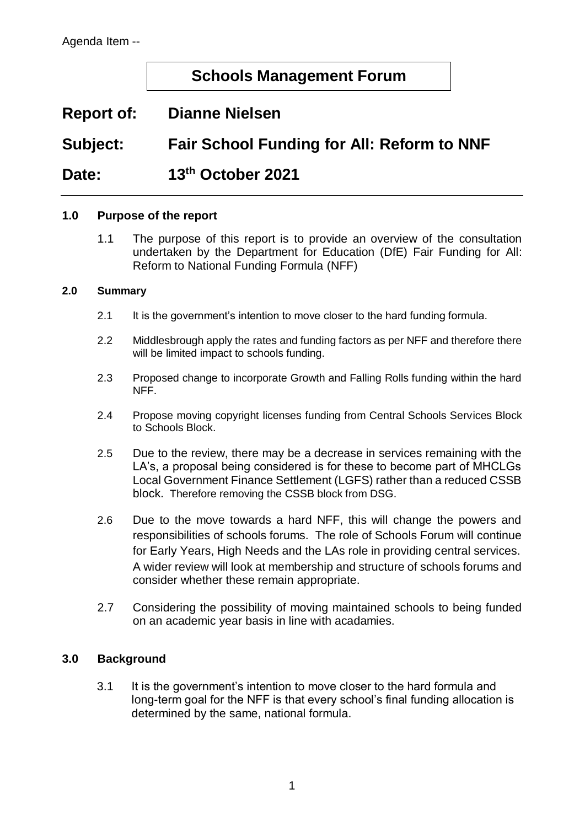## **Schools Management Forum**

# **Report of: Dianne Nielsen**

**Subject: Fair School Funding for All: Reform to NNF**

## **Date: 13th October 2021**

#### **1.0 Purpose of the report**

1.1 The purpose of this report is to provide an overview of the consultation undertaken by the Department for Education (DfE) Fair Funding for All: Reform to National Funding Formula (NFF)

#### **2.0 Summary**

- 2.1 It is the government's intention to move closer to the hard funding formula.
- 2.2 Middlesbrough apply the rates and funding factors as per NFF and therefore there will be limited impact to schools funding.
- 2.3 Proposed change to incorporate Growth and Falling Rolls funding within the hard NFF.
- 2.4 Propose moving copyright licenses funding from Central Schools Services Block to Schools Block.
- 2.5 Due to the review, there may be a decrease in services remaining with the LA's, a proposal being considered is for these to become part of MHCLGs Local Government Finance Settlement (LGFS) rather than a reduced CSSB block. Therefore removing the CSSB block from DSG.
- 2.6 Due to the move towards a hard NFF, this will change the powers and responsibilities of schools forums. The role of Schools Forum will continue for Early Years, High Needs and the LAs role in providing central services. A wider review will look at membership and structure of schools forums and consider whether these remain appropriate.
- 2.7 Considering the possibility of moving maintained schools to being funded on an academic year basis in line with acadamies.

#### **3.0 Background**

3.1 It is the government's intention to move closer to the hard formula and long-term goal for the NFF is that every school's final funding allocation is determined by the same, national formula.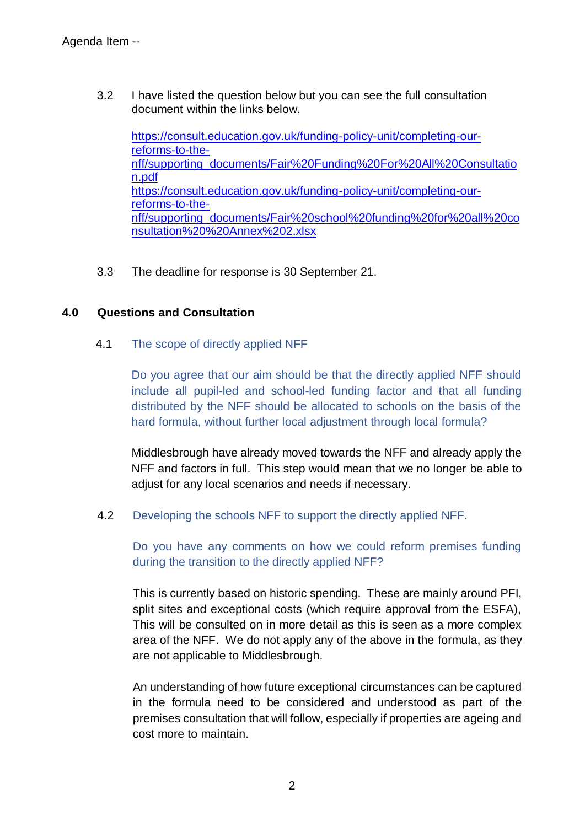3.2 I have listed the question below but you can see the full consultation document within the links below.

[https://consult.education.gov.uk/funding-policy-unit/completing-our](https://consult.education.gov.uk/funding-policy-unit/completing-our-reforms-to-the-nff/supporting_documents/Fair%20Funding%20For%20All%20Consultation.pdf)[reforms-to-the](https://consult.education.gov.uk/funding-policy-unit/completing-our-reforms-to-the-nff/supporting_documents/Fair%20Funding%20For%20All%20Consultation.pdf)[nff/supporting\\_documents/Fair%20Funding%20For%20All%20Consultatio](https://consult.education.gov.uk/funding-policy-unit/completing-our-reforms-to-the-nff/supporting_documents/Fair%20Funding%20For%20All%20Consultation.pdf) [n.pdf](https://consult.education.gov.uk/funding-policy-unit/completing-our-reforms-to-the-nff/supporting_documents/Fair%20Funding%20For%20All%20Consultation.pdf) [https://consult.education.gov.uk/funding-policy-unit/completing-our](https://consult.education.gov.uk/funding-policy-unit/completing-our-reforms-to-the-nff/supporting_documents/Fair%20school%20funding%20for%20all%20consultation%20%20Annex%202.xlsx)[reforms-to-the](https://consult.education.gov.uk/funding-policy-unit/completing-our-reforms-to-the-nff/supporting_documents/Fair%20school%20funding%20for%20all%20consultation%20%20Annex%202.xlsx)[nff/supporting\\_documents/Fair%20school%20funding%20for%20all%20co](https://consult.education.gov.uk/funding-policy-unit/completing-our-reforms-to-the-nff/supporting_documents/Fair%20school%20funding%20for%20all%20consultation%20%20Annex%202.xlsx) [nsultation%20%20Annex%202.xlsx](https://consult.education.gov.uk/funding-policy-unit/completing-our-reforms-to-the-nff/supporting_documents/Fair%20school%20funding%20for%20all%20consultation%20%20Annex%202.xlsx)

3.3 The deadline for response is 30 September 21.

#### **4.0 Questions and Consultation**

4.1 The scope of directly applied NFF

Do you agree that our aim should be that the directly applied NFF should include all pupil-led and school-led funding factor and that all funding distributed by the NFF should be allocated to schools on the basis of the hard formula, without further local adjustment through local formula?

Middlesbrough have already moved towards the NFF and already apply the NFF and factors in full. This step would mean that we no longer be able to adjust for any local scenarios and needs if necessary.

4.2 Developing the schools NFF to support the directly applied NFF.

Do you have any comments on how we could reform premises funding during the transition to the directly applied NFF?

This is currently based on historic spending. These are mainly around PFI, split sites and exceptional costs (which require approval from the ESFA), This will be consulted on in more detail as this is seen as a more complex area of the NFF. We do not apply any of the above in the formula, as they are not applicable to Middlesbrough.

An understanding of how future exceptional circumstances can be captured in the formula need to be considered and understood as part of the premises consultation that will follow, especially if properties are ageing and cost more to maintain.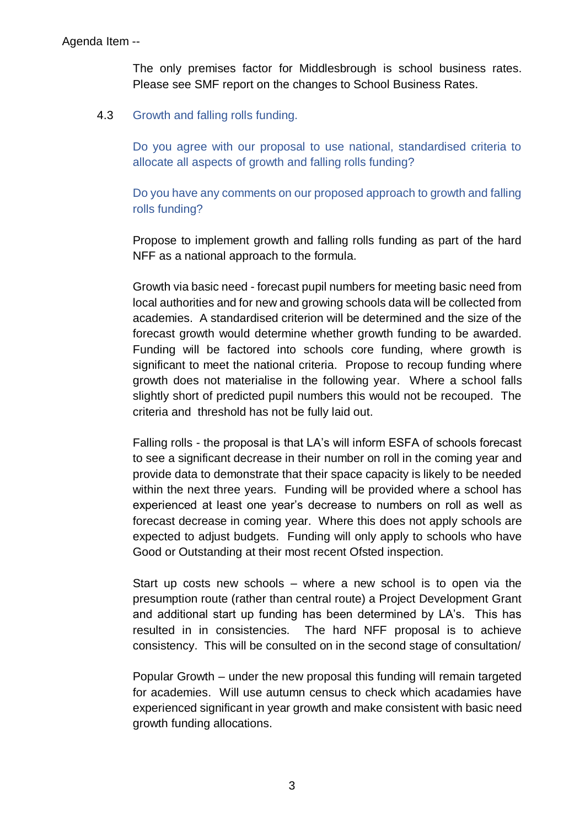The only premises factor for Middlesbrough is school business rates. Please see SMF report on the changes to School Business Rates.

4.3 Growth and falling rolls funding.

Do you agree with our proposal to use national, standardised criteria to allocate all aspects of growth and falling rolls funding?

Do you have any comments on our proposed approach to growth and falling rolls funding?

Propose to implement growth and falling rolls funding as part of the hard NFF as a national approach to the formula.

Growth via basic need - forecast pupil numbers for meeting basic need from local authorities and for new and growing schools data will be collected from academies. A standardised criterion will be determined and the size of the forecast growth would determine whether growth funding to be awarded. Funding will be factored into schools core funding, where growth is significant to meet the national criteria. Propose to recoup funding where growth does not materialise in the following year. Where a school falls slightly short of predicted pupil numbers this would not be recouped. The criteria and threshold has not be fully laid out.

Falling rolls - the proposal is that LA's will inform ESFA of schools forecast to see a significant decrease in their number on roll in the coming year and provide data to demonstrate that their space capacity is likely to be needed within the next three years. Funding will be provided where a school has experienced at least one year's decrease to numbers on roll as well as forecast decrease in coming year. Where this does not apply schools are expected to adjust budgets. Funding will only apply to schools who have Good or Outstanding at their most recent Ofsted inspection.

Start up costs new schools – where a new school is to open via the presumption route (rather than central route) a Project Development Grant and additional start up funding has been determined by LA's. This has resulted in in consistencies. The hard NFF proposal is to achieve consistency. This will be consulted on in the second stage of consultation/

Popular Growth – under the new proposal this funding will remain targeted for academies. Will use autumn census to check which acadamies have experienced significant in year growth and make consistent with basic need growth funding allocations.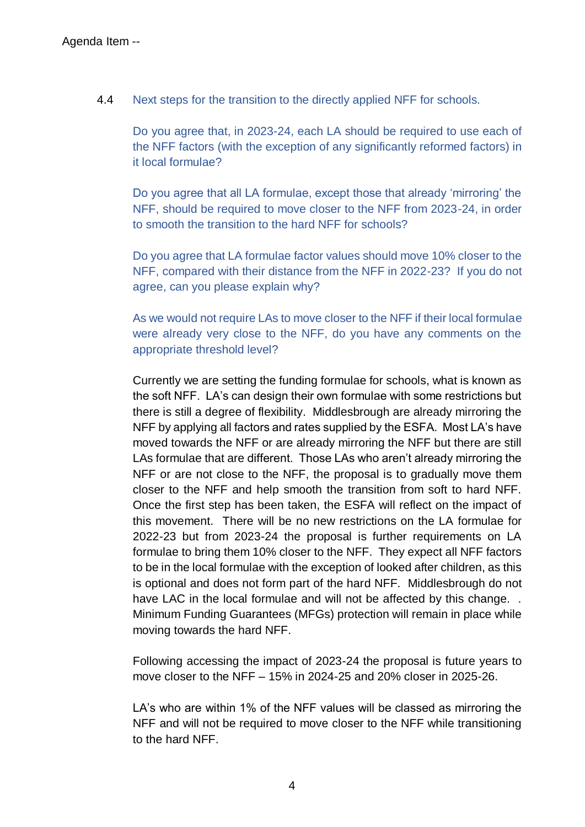4.4 Next steps for the transition to the directly applied NFF for schools.

Do you agree that, in 2023-24, each LA should be required to use each of the NFF factors (with the exception of any significantly reformed factors) in it local formulae?

Do you agree that all LA formulae, except those that already 'mirroring' the NFF, should be required to move closer to the NFF from 2023-24, in order to smooth the transition to the hard NFF for schools?

Do you agree that LA formulae factor values should move 10% closer to the NFF, compared with their distance from the NFF in 2022-23? If you do not agree, can you please explain why?

As we would not require LAs to move closer to the NFF if their local formulae were already very close to the NFF, do you have any comments on the appropriate threshold level?

Currently we are setting the funding formulae for schools, what is known as the soft NFF. LA's can design their own formulae with some restrictions but there is still a degree of flexibility. Middlesbrough are already mirroring the NFF by applying all factors and rates supplied by the ESFA. Most LA's have moved towards the NFF or are already mirroring the NFF but there are still LAs formulae that are different. Those LAs who aren't already mirroring the NFF or are not close to the NFF, the proposal is to gradually move them closer to the NFF and help smooth the transition from soft to hard NFF. Once the first step has been taken, the ESFA will reflect on the impact of this movement. There will be no new restrictions on the LA formulae for 2022-23 but from 2023-24 the proposal is further requirements on LA formulae to bring them 10% closer to the NFF. They expect all NFF factors to be in the local formulae with the exception of looked after children, as this is optional and does not form part of the hard NFF. Middlesbrough do not have LAC in the local formulae and will not be affected by this change... Minimum Funding Guarantees (MFGs) protection will remain in place while moving towards the hard NFF.

Following accessing the impact of 2023-24 the proposal is future years to move closer to the NFF – 15% in 2024-25 and 20% closer in 2025-26.

LA's who are within 1% of the NFF values will be classed as mirroring the NFF and will not be required to move closer to the NFF while transitioning to the hard NFF.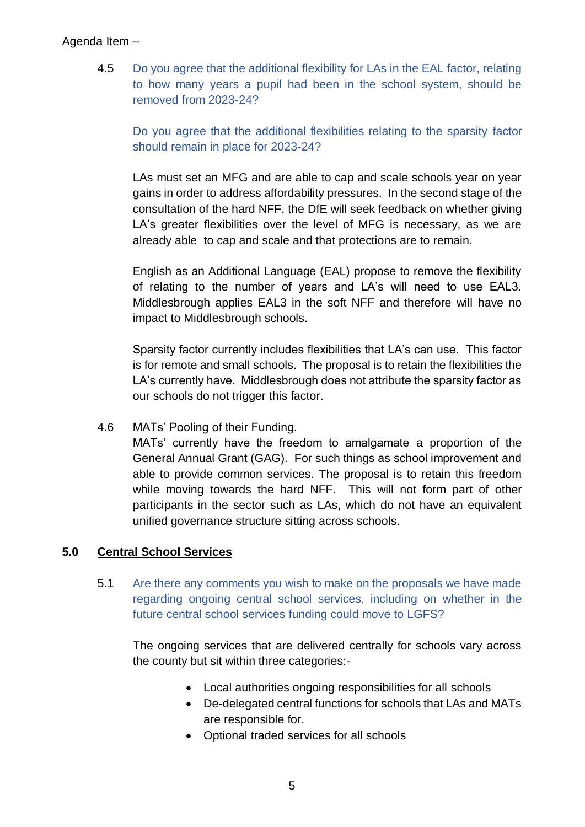#### Agenda Item --

4.5 Do you agree that the additional flexibility for LAs in the EAL factor, relating to how many years a pupil had been in the school system, should be removed from 2023-24?

Do you agree that the additional flexibilities relating to the sparsity factor should remain in place for 2023-24?

LAs must set an MFG and are able to cap and scale schools year on year gains in order to address affordability pressures. In the second stage of the consultation of the hard NFF, the DfE will seek feedback on whether giving LA's greater flexibilities over the level of MFG is necessary, as we are already able to cap and scale and that protections are to remain.

English as an Additional Language (EAL) propose to remove the flexibility of relating to the number of years and LA's will need to use EAL3. Middlesbrough applies EAL3 in the soft NFF and therefore will have no impact to Middlesbrough schools.

Sparsity factor currently includes flexibilities that LA's can use. This factor is for remote and small schools. The proposal is to retain the flexibilities the LA's currently have. Middlesbrough does not attribute the sparsity factor as our schools do not trigger this factor.

## 4.6 MATs' Pooling of their Funding.

MATs' currently have the freedom to amalgamate a proportion of the General Annual Grant (GAG). For such things as school improvement and able to provide common services. The proposal is to retain this freedom while moving towards the hard NFF. This will not form part of other participants in the sector such as LAs, which do not have an equivalent unified governance structure sitting across schools.

## **5.0 Central School Services**

5.1 Are there any comments you wish to make on the proposals we have made regarding ongoing central school services, including on whether in the future central school services funding could move to LGFS?

The ongoing services that are delivered centrally for schools vary across the county but sit within three categories:-

- Local authorities ongoing responsibilities for all schools
- De-delegated central functions for schools that LAs and MATs are responsible for.
- Optional traded services for all schools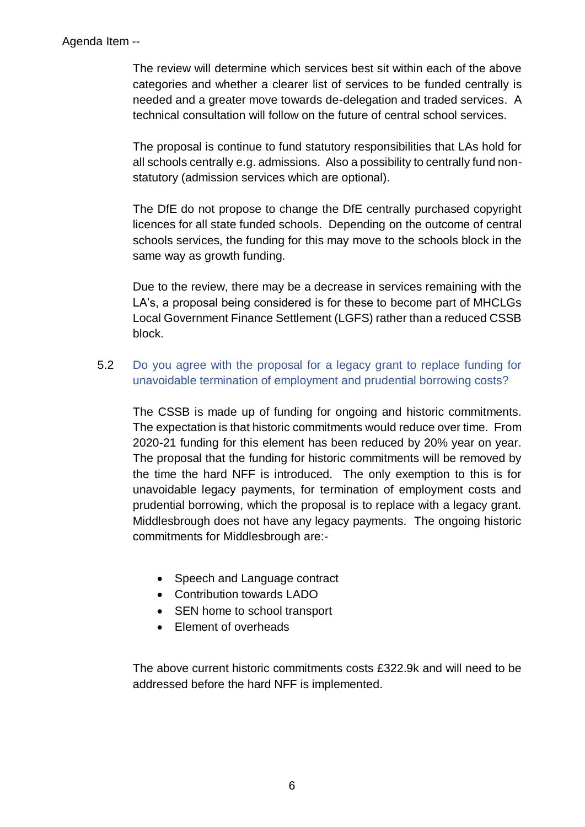The review will determine which services best sit within each of the above categories and whether a clearer list of services to be funded centrally is needed and a greater move towards de-delegation and traded services. A technical consultation will follow on the future of central school services.

The proposal is continue to fund statutory responsibilities that LAs hold for all schools centrally e.g. admissions. Also a possibility to centrally fund nonstatutory (admission services which are optional).

The DfE do not propose to change the DfE centrally purchased copyright licences for all state funded schools. Depending on the outcome of central schools services, the funding for this may move to the schools block in the same way as growth funding.

Due to the review, there may be a decrease in services remaining with the LA's, a proposal being considered is for these to become part of MHCLGs Local Government Finance Settlement (LGFS) rather than a reduced CSSB block.

## 5.2 Do you agree with the proposal for a legacy grant to replace funding for unavoidable termination of employment and prudential borrowing costs?

The CSSB is made up of funding for ongoing and historic commitments. The expectation is that historic commitments would reduce over time. From 2020-21 funding for this element has been reduced by 20% year on year. The proposal that the funding for historic commitments will be removed by the time the hard NFF is introduced. The only exemption to this is for unavoidable legacy payments, for termination of employment costs and prudential borrowing, which the proposal is to replace with a legacy grant. Middlesbrough does not have any legacy payments. The ongoing historic commitments for Middlesbrough are:-

- Speech and Language contract
- Contribution towards LADO
- SEN home to school transport
- Element of overheads

The above current historic commitments costs £322.9k and will need to be addressed before the hard NFF is implemented.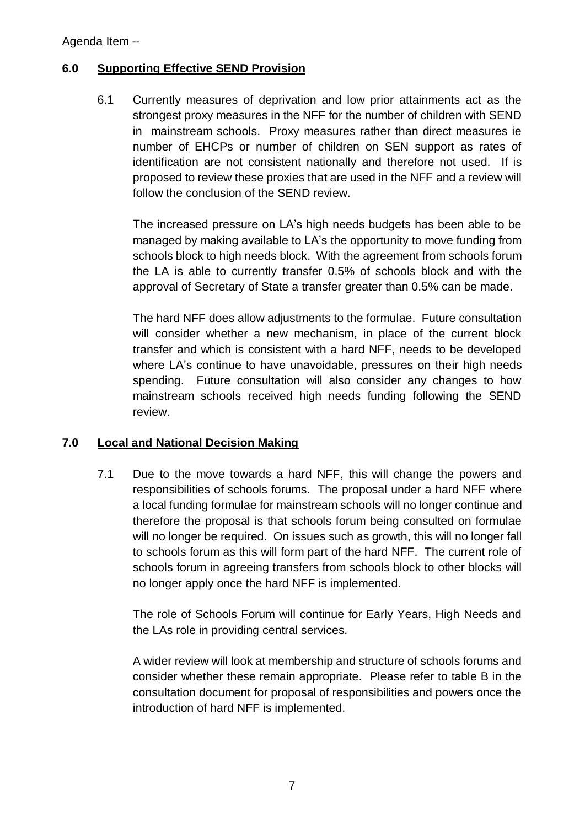## **6.0 Supporting Effective SEND Provision**

6.1 Currently measures of deprivation and low prior attainments act as the strongest proxy measures in the NFF for the number of children with SEND in mainstream schools. Proxy measures rather than direct measures ie number of EHCPs or number of children on SEN support as rates of identification are not consistent nationally and therefore not used. If is proposed to review these proxies that are used in the NFF and a review will follow the conclusion of the SEND review.

The increased pressure on LA's high needs budgets has been able to be managed by making available to LA's the opportunity to move funding from schools block to high needs block. With the agreement from schools forum the LA is able to currently transfer 0.5% of schools block and with the approval of Secretary of State a transfer greater than 0.5% can be made.

The hard NFF does allow adjustments to the formulae. Future consultation will consider whether a new mechanism, in place of the current block transfer and which is consistent with a hard NFF, needs to be developed where LA's continue to have unavoidable, pressures on their high needs spending. Future consultation will also consider any changes to how mainstream schools received high needs funding following the SEND review.

## **7.0 Local and National Decision Making**

7.1 Due to the move towards a hard NFF, this will change the powers and responsibilities of schools forums. The proposal under a hard NFF where a local funding formulae for mainstream schools will no longer continue and therefore the proposal is that schools forum being consulted on formulae will no longer be required. On issues such as growth, this will no longer fall to schools forum as this will form part of the hard NFF. The current role of schools forum in agreeing transfers from schools block to other blocks will no longer apply once the hard NFF is implemented.

The role of Schools Forum will continue for Early Years, High Needs and the LAs role in providing central services.

A wider review will look at membership and structure of schools forums and consider whether these remain appropriate. Please refer to table B in the consultation document for proposal of responsibilities and powers once the introduction of hard NFF is implemented.